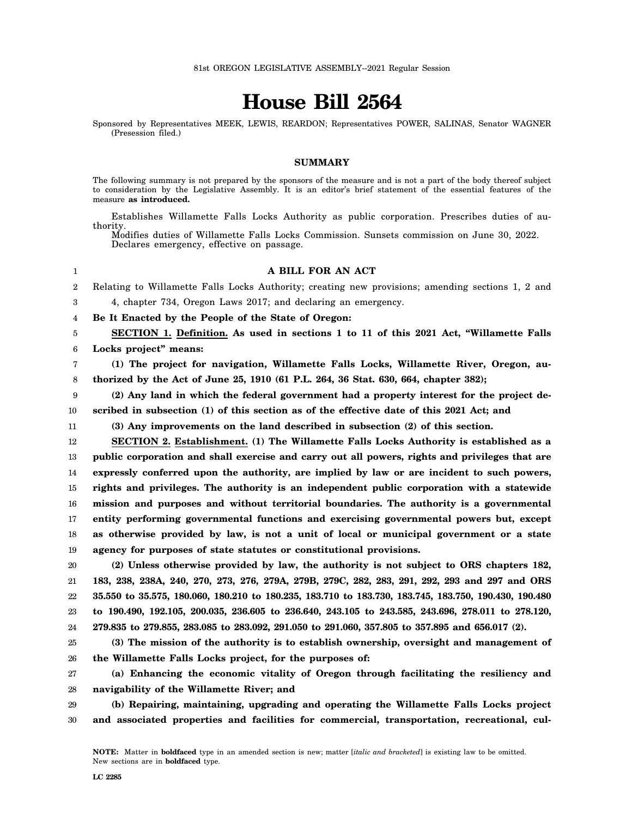# **House Bill 2564**

Sponsored by Representatives MEEK, LEWIS, REARDON; Representatives POWER, SALINAS, Senator WAGNER (Presession filed.)

## **SUMMARY**

The following summary is not prepared by the sponsors of the measure and is not a part of the body thereof subject to consideration by the Legislative Assembly. It is an editor's brief statement of the essential features of the measure **as introduced.**

Establishes Willamette Falls Locks Authority as public corporation. Prescribes duties of authority.

Modifies duties of Willamette Falls Locks Commission. Sunsets commission on June 30, 2022. Declares emergency, effective on passage.

## 1

# **A BILL FOR AN ACT**

2 3 Relating to Willamette Falls Locks Authority; creating new provisions; amending sections 1, 2 and 4, chapter 734, Oregon Laws 2017; and declaring an emergency.

4 **Be It Enacted by the People of the State of Oregon:**

5 6 **SECTION 1. Definition. As used in sections 1 to 11 of this 2021 Act, "Willamette Falls Locks project" means:**

7 8 **(1) The project for navigation, Willamette Falls Locks, Willamette River, Oregon, authorized by the Act of June 25, 1910 (61 P.L. 264, 36 Stat. 630, 664, chapter 382);**

9 10 **(2) Any land in which the federal government had a property interest for the project described in subsection (1) of this section as of the effective date of this 2021 Act; and**

11 **(3) Any improvements on the land described in subsection (2) of this section.**

12 13 14 15 16 17 18 19 **SECTION 2. Establishment. (1) The Willamette Falls Locks Authority is established as a public corporation and shall exercise and carry out all powers, rights and privileges that are expressly conferred upon the authority, are implied by law or are incident to such powers, rights and privileges. The authority is an independent public corporation with a statewide mission and purposes and without territorial boundaries. The authority is a governmental entity performing governmental functions and exercising governmental powers but, except as otherwise provided by law, is not a unit of local or municipal government or a state agency for purposes of state statutes or constitutional provisions.**

20 21 22 23 24 **(2) Unless otherwise provided by law, the authority is not subject to ORS chapters 182, 183, 238, 238A, 240, 270, 273, 276, 279A, 279B, 279C, 282, 283, 291, 292, 293 and 297 and ORS 35.550 to 35.575, 180.060, 180.210 to 180.235, 183.710 to 183.730, 183.745, 183.750, 190.430, 190.480 to 190.490, 192.105, 200.035, 236.605 to 236.640, 243.105 to 243.585, 243.696, 278.011 to 278.120, 279.835 to 279.855, 283.085 to 283.092, 291.050 to 291.060, 357.805 to 357.895 and 656.017 (2).**

25 26 **(3) The mission of the authority is to establish ownership, oversight and management of the Willamette Falls Locks project, for the purposes of:**

27 28 **(a) Enhancing the economic vitality of Oregon through facilitating the resiliency and navigability of the Willamette River; and**

29 30 **(b) Repairing, maintaining, upgrading and operating the Willamette Falls Locks project and associated properties and facilities for commercial, transportation, recreational, cul-**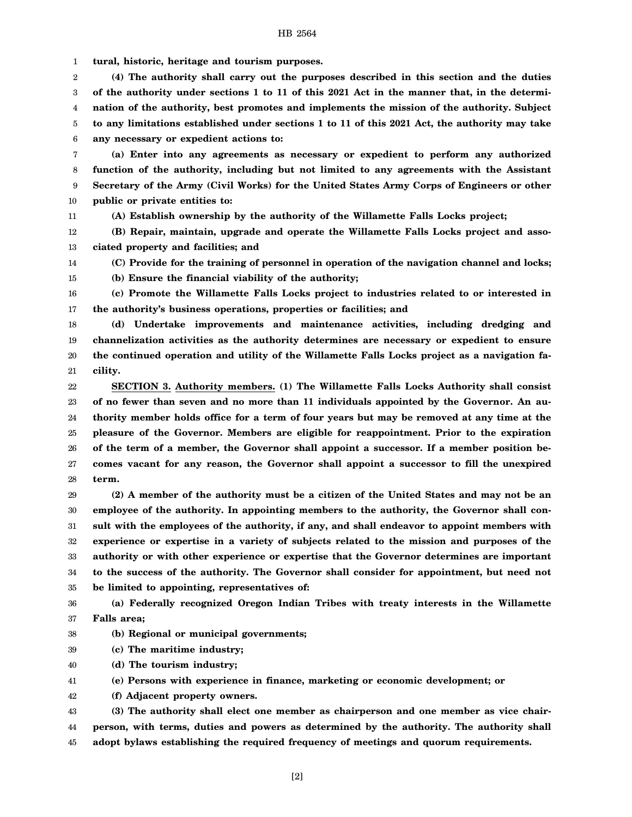1 **tural, historic, heritage and tourism purposes.**

2 3 4 5 6 **(4) The authority shall carry out the purposes described in this section and the duties of the authority under sections 1 to 11 of this 2021 Act in the manner that, in the determination of the authority, best promotes and implements the mission of the authority. Subject to any limitations established under sections 1 to 11 of this 2021 Act, the authority may take any necessary or expedient actions to:**

7 8 9 10 **(a) Enter into any agreements as necessary or expedient to perform any authorized function of the authority, including but not limited to any agreements with the Assistant Secretary of the Army (Civil Works) for the United States Army Corps of Engineers or other public or private entities to:**

**(A) Establish ownership by the authority of the Willamette Falls Locks project;**

12 13 **(B) Repair, maintain, upgrade and operate the Willamette Falls Locks project and associated property and facilities; and**

14 15

11

**(C) Provide for the training of personnel in operation of the navigation channel and locks;**

**(b) Ensure the financial viability of the authority;**

16 17 **(c) Promote the Willamette Falls Locks project to industries related to or interested in the authority's business operations, properties or facilities; and**

18 19 20 21 **(d) Undertake improvements and maintenance activities, including dredging and channelization activities as the authority determines are necessary or expedient to ensure the continued operation and utility of the Willamette Falls Locks project as a navigation facility.**

22 23 24 25 26 27 28 **SECTION 3. Authority members. (1) The Willamette Falls Locks Authority shall consist of no fewer than seven and no more than 11 individuals appointed by the Governor. An authority member holds office for a term of four years but may be removed at any time at the pleasure of the Governor. Members are eligible for reappointment. Prior to the expiration of the term of a member, the Governor shall appoint a successor. If a member position becomes vacant for any reason, the Governor shall appoint a successor to fill the unexpired term.**

29 30 31 32 33 34 35 **(2) A member of the authority must be a citizen of the United States and may not be an employee of the authority. In appointing members to the authority, the Governor shall consult with the employees of the authority, if any, and shall endeavor to appoint members with experience or expertise in a variety of subjects related to the mission and purposes of the authority or with other experience or expertise that the Governor determines are important to the success of the authority. The Governor shall consider for appointment, but need not be limited to appointing, representatives of:**

36 37 **(a) Federally recognized Oregon Indian Tribes with treaty interests in the Willamette Falls area;**

- 38 **(b) Regional or municipal governments;**
- 39 **(c) The maritime industry;**
- 40 **(d) The tourism industry;**

41 **(e) Persons with experience in finance, marketing or economic development; or**

42 **(f) Adjacent property owners.**

43 44 45 **(3) The authority shall elect one member as chairperson and one member as vice chairperson, with terms, duties and powers as determined by the authority. The authority shall adopt bylaws establishing the required frequency of meetings and quorum requirements.**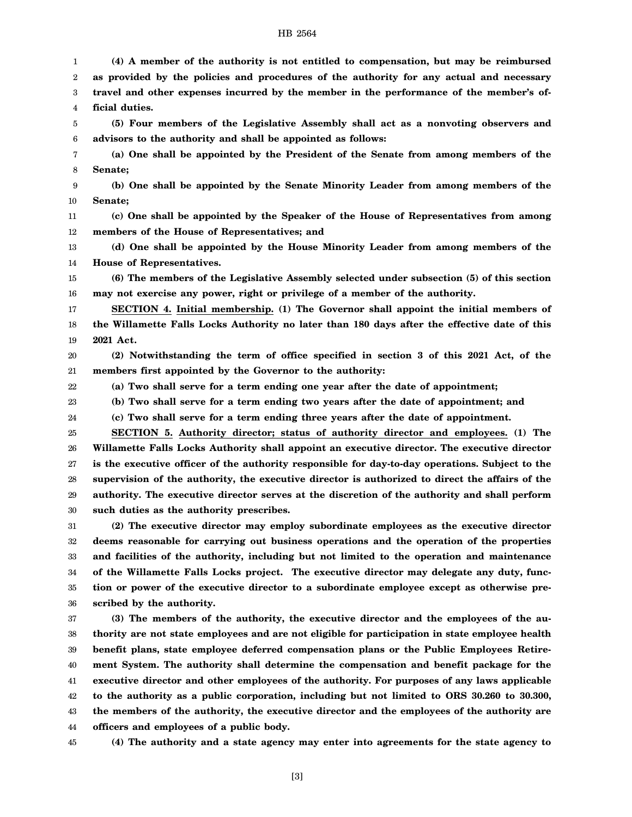**(4) A member of the authority is not entitled to compensation, but may be reimbursed**

2 3 4 5 6 7 8 9 10 11 12 13 14 15 16 17 18 19 20 21 22 23 24 25 26 27 28 29 30 31 32 33 34 35 36 37 38 39 40 41 42 43 **as provided by the policies and procedures of the authority for any actual and necessary travel and other expenses incurred by the member in the performance of the member's official duties. (5) Four members of the Legislative Assembly shall act as a nonvoting observers and advisors to the authority and shall be appointed as follows: (a) One shall be appointed by the President of the Senate from among members of the Senate; (b) One shall be appointed by the Senate Minority Leader from among members of the Senate; (c) One shall be appointed by the Speaker of the House of Representatives from among members of the House of Representatives; and (d) One shall be appointed by the House Minority Leader from among members of the House of Representatives. (6) The members of the Legislative Assembly selected under subsection (5) of this section may not exercise any power, right or privilege of a member of the authority. SECTION 4. Initial membership. (1) The Governor shall appoint the initial members of the Willamette Falls Locks Authority no later than 180 days after the effective date of this 2021 Act. (2) Notwithstanding the term of office specified in section 3 of this 2021 Act, of the members first appointed by the Governor to the authority: (a) Two shall serve for a term ending one year after the date of appointment; (b) Two shall serve for a term ending two years after the date of appointment; and (c) Two shall serve for a term ending three years after the date of appointment. SECTION 5. Authority director; status of authority director and employees. (1) The Willamette Falls Locks Authority shall appoint an executive director. The executive director is the executive officer of the authority responsible for day-to-day operations. Subject to the supervision of the authority, the executive director is authorized to direct the affairs of the authority. The executive director serves at the discretion of the authority and shall perform such duties as the authority prescribes. (2) The executive director may employ subordinate employees as the executive director deems reasonable for carrying out business operations and the operation of the properties and facilities of the authority, including but not limited to the operation and maintenance of the Willamette Falls Locks project. The executive director may delegate any duty, function or power of the executive director to a subordinate employee except as otherwise prescribed by the authority. (3) The members of the authority, the executive director and the employees of the authority are not state employees and are not eligible for participation in state employee health benefit plans, state employee deferred compensation plans or the Public Employees Retirement System. The authority shall determine the compensation and benefit package for the executive director and other employees of the authority. For purposes of any laws applicable to the authority as a public corporation, including but not limited to ORS 30.260 to 30.300, the members of the authority, the executive director and the employees of the authority are**

44 **officers and employees of a public body.**

45

1

**(4) The authority and a state agency may enter into agreements for the state agency to**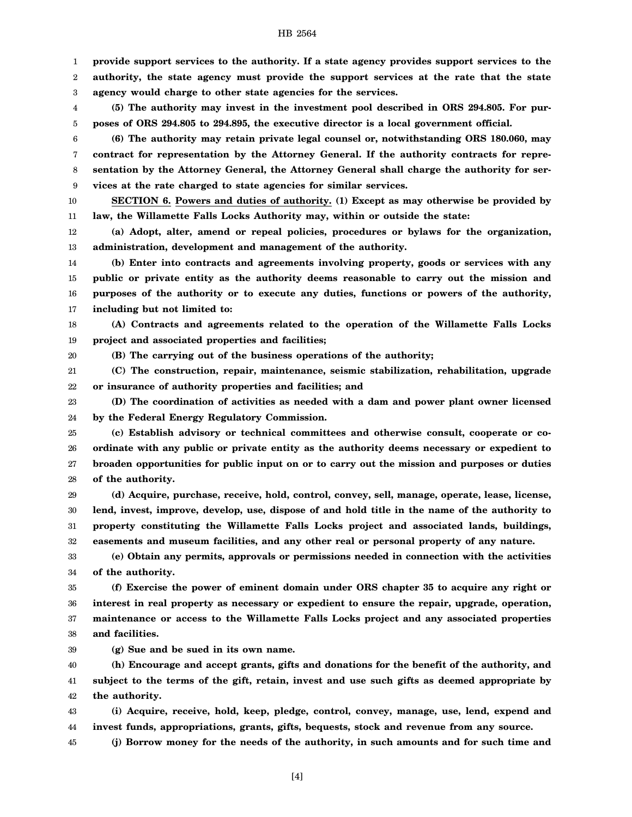**provide support services to the authority. If a state agency provides support services to the authority, the state agency must provide the support services at the rate that the state agency would charge to other state agencies for the services.**

4 5 **(5) The authority may invest in the investment pool described in ORS 294.805. For purposes of ORS 294.805 to 294.895, the executive director is a local government official.**

6 7 8 9 **(6) The authority may retain private legal counsel or, notwithstanding ORS 180.060, may contract for representation by the Attorney General. If the authority contracts for representation by the Attorney General, the Attorney General shall charge the authority for services at the rate charged to state agencies for similar services.**

10 11 **SECTION 6. Powers and duties of authority. (1) Except as may otherwise be provided by law, the Willamette Falls Locks Authority may, within or outside the state:**

12 13 **(a) Adopt, alter, amend or repeal policies, procedures or bylaws for the organization, administration, development and management of the authority.**

14 15 16 17 **(b) Enter into contracts and agreements involving property, goods or services with any public or private entity as the authority deems reasonable to carry out the mission and purposes of the authority or to execute any duties, functions or powers of the authority, including but not limited to:**

18 19 **(A) Contracts and agreements related to the operation of the Willamette Falls Locks project and associated properties and facilities;**

20 **(B) The carrying out of the business operations of the authority;**

21 22 **(C) The construction, repair, maintenance, seismic stabilization, rehabilitation, upgrade or insurance of authority properties and facilities; and**

23 24 **(D) The coordination of activities as needed with a dam and power plant owner licensed by the Federal Energy Regulatory Commission.**

25 26 27 28 **(c) Establish advisory or technical committees and otherwise consult, cooperate or coordinate with any public or private entity as the authority deems necessary or expedient to broaden opportunities for public input on or to carry out the mission and purposes or duties of the authority.**

29 30 31 32 **(d) Acquire, purchase, receive, hold, control, convey, sell, manage, operate, lease, license, lend, invest, improve, develop, use, dispose of and hold title in the name of the authority to property constituting the Willamette Falls Locks project and associated lands, buildings, easements and museum facilities, and any other real or personal property of any nature.**

33 34 **(e) Obtain any permits, approvals or permissions needed in connection with the activities of the authority.**

35 36 37 38 **(f) Exercise the power of eminent domain under ORS chapter 35 to acquire any right or interest in real property as necessary or expedient to ensure the repair, upgrade, operation, maintenance or access to the Willamette Falls Locks project and any associated properties and facilities.**

39 **(g) Sue and be sued in its own name.**

1 2 3

40 41 42 **(h) Encourage and accept grants, gifts and donations for the benefit of the authority, and subject to the terms of the gift, retain, invest and use such gifts as deemed appropriate by the authority.**

43 44 **(i) Acquire, receive, hold, keep, pledge, control, convey, manage, use, lend, expend and invest funds, appropriations, grants, gifts, bequests, stock and revenue from any source.**

45 **(j) Borrow money for the needs of the authority, in such amounts and for such time and**

#### HB 2564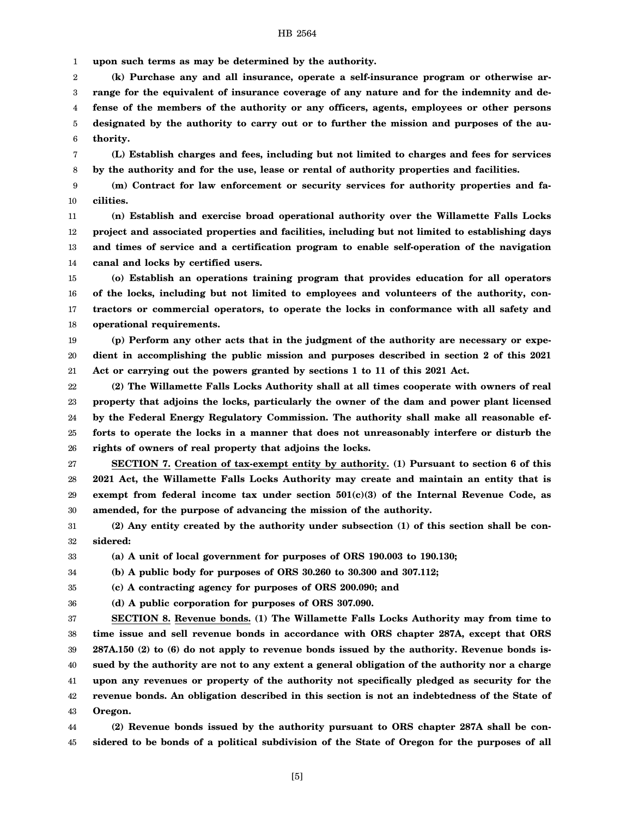1 **upon such terms as may be determined by the authority.**

2 3 4 5 6 **(k) Purchase any and all insurance, operate a self-insurance program or otherwise arrange for the equivalent of insurance coverage of any nature and for the indemnity and defense of the members of the authority or any officers, agents, employees or other persons designated by the authority to carry out or to further the mission and purposes of the authority.**

7 8 **(L) Establish charges and fees, including but not limited to charges and fees for services by the authority and for the use, lease or rental of authority properties and facilities.**

9 10 **(m) Contract for law enforcement or security services for authority properties and facilities.**

11 12 13 14 **(n) Establish and exercise broad operational authority over the Willamette Falls Locks project and associated properties and facilities, including but not limited to establishing days and times of service and a certification program to enable self-operation of the navigation canal and locks by certified users.**

15 16 17 18 **(o) Establish an operations training program that provides education for all operators of the locks, including but not limited to employees and volunteers of the authority, contractors or commercial operators, to operate the locks in conformance with all safety and operational requirements.**

19 20 21 **(p) Perform any other acts that in the judgment of the authority are necessary or expedient in accomplishing the public mission and purposes described in section 2 of this 2021 Act or carrying out the powers granted by sections 1 to 11 of this 2021 Act.**

22 23 24 25 26 **(2) The Willamette Falls Locks Authority shall at all times cooperate with owners of real property that adjoins the locks, particularly the owner of the dam and power plant licensed by the Federal Energy Regulatory Commission. The authority shall make all reasonable efforts to operate the locks in a manner that does not unreasonably interfere or disturb the rights of owners of real property that adjoins the locks.**

27 28 29 30 **SECTION 7. Creation of tax-exempt entity by authority. (1) Pursuant to section 6 of this 2021 Act, the Willamette Falls Locks Authority may create and maintain an entity that is exempt from federal income tax under section 501(c)(3) of the Internal Revenue Code, as amended, for the purpose of advancing the mission of the authority.**

31 32 **(2) Any entity created by the authority under subsection (1) of this section shall be considered:**

33 **(a) A unit of local government for purposes of ORS 190.003 to 190.130;**

34 **(b) A public body for purposes of ORS 30.260 to 30.300 and 307.112;**

35 **(c) A contracting agency for purposes of ORS 200.090; and**

36 **(d) A public corporation for purposes of ORS 307.090.**

37 38 39 40 41 42 43 **SECTION 8. Revenue bonds. (1) The Willamette Falls Locks Authority may from time to time issue and sell revenue bonds in accordance with ORS chapter 287A, except that ORS 287A.150 (2) to (6) do not apply to revenue bonds issued by the authority. Revenue bonds issued by the authority are not to any extent a general obligation of the authority nor a charge upon any revenues or property of the authority not specifically pledged as security for the revenue bonds. An obligation described in this section is not an indebtedness of the State of Oregon.**

44 45 **(2) Revenue bonds issued by the authority pursuant to ORS chapter 287A shall be considered to be bonds of a political subdivision of the State of Oregon for the purposes of all**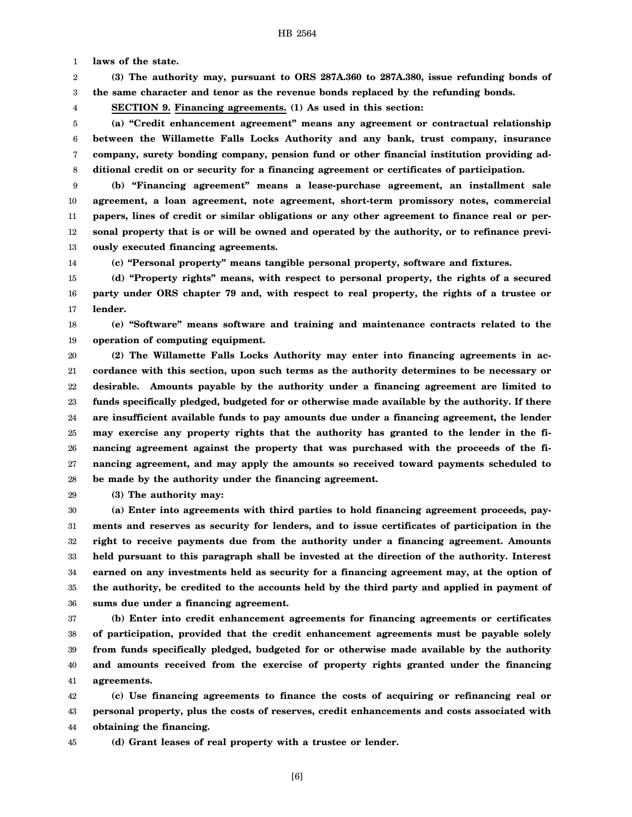1 **laws of the state.**

2 3 **(3) The authority may, pursuant to ORS 287A.360 to 287A.380, issue refunding bonds of the same character and tenor as the revenue bonds replaced by the refunding bonds.**

**SECTION 9. Financing agreements. (1) As used in this section:**

5 6 7 8 **(a) "Credit enhancement agreement" means any agreement or contractual relationship between the Willamette Falls Locks Authority and any bank, trust company, insurance company, surety bonding company, pension fund or other financial institution providing additional credit on or security for a financing agreement or certificates of participation.**

9 10 11 12 13 **(b) "Financing agreement" means a lease-purchase agreement, an installment sale agreement, a loan agreement, note agreement, short-term promissory notes, commercial papers, lines of credit or similar obligations or any other agreement to finance real or personal property that is or will be owned and operated by the authority, or to refinance previously executed financing agreements.**

14

4

**(c) "Personal property" means tangible personal property, software and fixtures.**

15 16 17 **(d) "Property rights" means, with respect to personal property, the rights of a secured party under ORS chapter 79 and, with respect to real property, the rights of a trustee or lender.**

18 19 **(e) "Software" means software and training and maintenance contracts related to the operation of computing equipment.**

20 21 22 23 24 25 26 27 28 **(2) The Willamette Falls Locks Authority may enter into financing agreements in accordance with this section, upon such terms as the authority determines to be necessary or desirable. Amounts payable by the authority under a financing agreement are limited to funds specifically pledged, budgeted for or otherwise made available by the authority. If there are insufficient available funds to pay amounts due under a financing agreement, the lender may exercise any property rights that the authority has granted to the lender in the financing agreement against the property that was purchased with the proceeds of the financing agreement, and may apply the amounts so received toward payments scheduled to be made by the authority under the financing agreement.**

29 **(3) The authority may:**

30 31 32 33 34 35 36 **(a) Enter into agreements with third parties to hold financing agreement proceeds, payments and reserves as security for lenders, and to issue certificates of participation in the right to receive payments due from the authority under a financing agreement. Amounts held pursuant to this paragraph shall be invested at the direction of the authority. Interest earned on any investments held as security for a financing agreement may, at the option of the authority, be credited to the accounts held by the third party and applied in payment of sums due under a financing agreement.**

37 38 39 40 41 **(b) Enter into credit enhancement agreements for financing agreements or certificates of participation, provided that the credit enhancement agreements must be payable solely from funds specifically pledged, budgeted for or otherwise made available by the authority and amounts received from the exercise of property rights granted under the financing agreements.**

42 43 44 **(c) Use financing agreements to finance the costs of acquiring or refinancing real or personal property, plus the costs of reserves, credit enhancements and costs associated with obtaining the financing.**

45 **(d) Grant leases of real property with a trustee or lender.**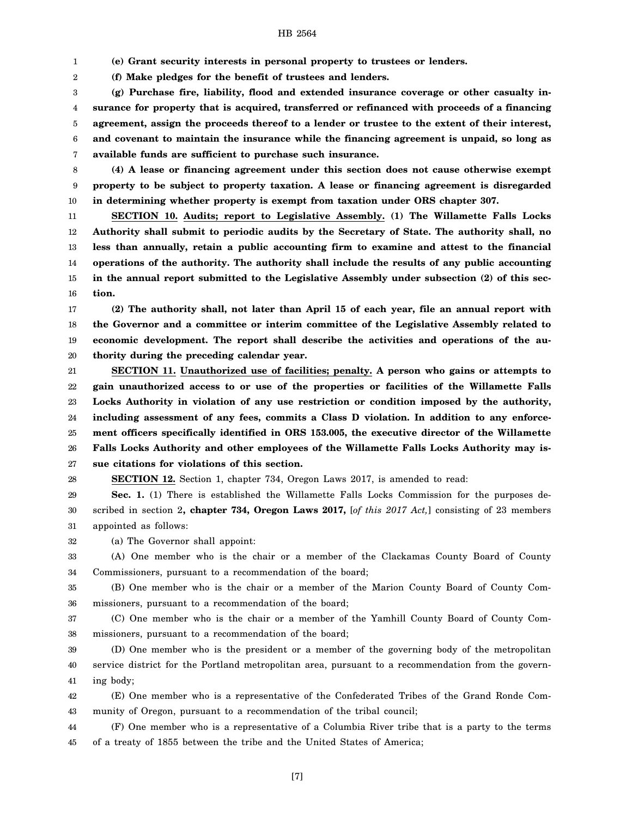1 **(e) Grant security interests in personal property to trustees or lenders.**

2 **(f) Make pledges for the benefit of trustees and lenders.**

3 4 5 6 7 **(g) Purchase fire, liability, flood and extended insurance coverage or other casualty insurance for property that is acquired, transferred or refinanced with proceeds of a financing agreement, assign the proceeds thereof to a lender or trustee to the extent of their interest, and covenant to maintain the insurance while the financing agreement is unpaid, so long as available funds are sufficient to purchase such insurance.**

8 9 10 **(4) A lease or financing agreement under this section does not cause otherwise exempt property to be subject to property taxation. A lease or financing agreement is disregarded in determining whether property is exempt from taxation under ORS chapter 307.**

11 12 13 14 15 16 **SECTION 10. Audits; report to Legislative Assembly. (1) The Willamette Falls Locks Authority shall submit to periodic audits by the Secretary of State. The authority shall, no less than annually, retain a public accounting firm to examine and attest to the financial operations of the authority. The authority shall include the results of any public accounting in the annual report submitted to the Legislative Assembly under subsection (2) of this section.**

17 18 19 20 **(2) The authority shall, not later than April 15 of each year, file an annual report with the Governor and a committee or interim committee of the Legislative Assembly related to economic development. The report shall describe the activities and operations of the authority during the preceding calendar year.**

21 22 23 24 25 26 27 **SECTION 11. Unauthorized use of facilities; penalty. A person who gains or attempts to gain unauthorized access to or use of the properties or facilities of the Willamette Falls Locks Authority in violation of any use restriction or condition imposed by the authority, including assessment of any fees, commits a Class D violation. In addition to any enforcement officers specifically identified in ORS 153.005, the executive director of the Willamette Falls Locks Authority and other employees of the Willamette Falls Locks Authority may issue citations for violations of this section.**

28 **SECTION 12.** Section 1, chapter 734, Oregon Laws 2017, is amended to read:

29 30 31 **Sec. 1.** (1) There is established the Willamette Falls Locks Commission for the purposes described in section 2**, chapter 734, Oregon Laws 2017,** [*of this 2017 Act,*] consisting of 23 members appointed as follows:

32 (a) The Governor shall appoint:

33 34 (A) One member who is the chair or a member of the Clackamas County Board of County Commissioners, pursuant to a recommendation of the board;

35 36 (B) One member who is the chair or a member of the Marion County Board of County Commissioners, pursuant to a recommendation of the board;

37 38 (C) One member who is the chair or a member of the Yamhill County Board of County Commissioners, pursuant to a recommendation of the board;

39 40 41 (D) One member who is the president or a member of the governing body of the metropolitan service district for the Portland metropolitan area, pursuant to a recommendation from the governing body;

42 43 (E) One member who is a representative of the Confederated Tribes of the Grand Ronde Community of Oregon, pursuant to a recommendation of the tribal council;

44 45 (F) One member who is a representative of a Columbia River tribe that is a party to the terms of a treaty of 1855 between the tribe and the United States of America;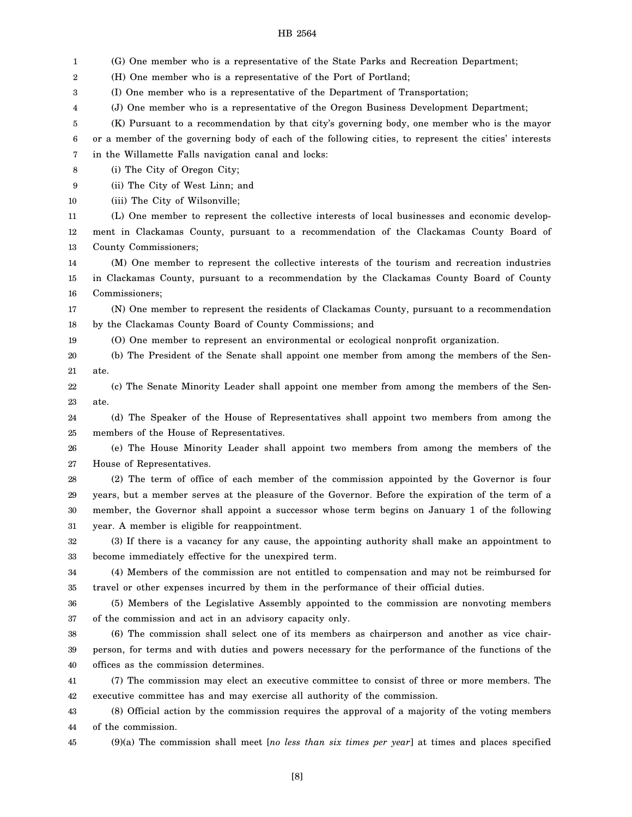1 2 3 4 5 6 7 8 9 10 11 12 13 14 15 16 17 18 19 20 21 22 23 24 25 26 27 28 29 30 31 32 33 34 35 36 37 38 39 40 41 42 43 44 45 (G) One member who is a representative of the State Parks and Recreation Department; (H) One member who is a representative of the Port of Portland; (I) One member who is a representative of the Department of Transportation; (J) One member who is a representative of the Oregon Business Development Department; (K) Pursuant to a recommendation by that city's governing body, one member who is the mayor or a member of the governing body of each of the following cities, to represent the cities' interests in the Willamette Falls navigation canal and locks: (i) The City of Oregon City; (ii) The City of West Linn; and (iii) The City of Wilsonville; (L) One member to represent the collective interests of local businesses and economic development in Clackamas County, pursuant to a recommendation of the Clackamas County Board of County Commissioners; (M) One member to represent the collective interests of the tourism and recreation industries in Clackamas County, pursuant to a recommendation by the Clackamas County Board of County Commissioners; (N) One member to represent the residents of Clackamas County, pursuant to a recommendation by the Clackamas County Board of County Commissions; and (O) One member to represent an environmental or ecological nonprofit organization. (b) The President of the Senate shall appoint one member from among the members of the Senate. (c) The Senate Minority Leader shall appoint one member from among the members of the Senate. (d) The Speaker of the House of Representatives shall appoint two members from among the members of the House of Representatives. (e) The House Minority Leader shall appoint two members from among the members of the House of Representatives. (2) The term of office of each member of the commission appointed by the Governor is four years, but a member serves at the pleasure of the Governor. Before the expiration of the term of a member, the Governor shall appoint a successor whose term begins on January 1 of the following year. A member is eligible for reappointment. (3) If there is a vacancy for any cause, the appointing authority shall make an appointment to become immediately effective for the unexpired term. (4) Members of the commission are not entitled to compensation and may not be reimbursed for travel or other expenses incurred by them in the performance of their official duties. (5) Members of the Legislative Assembly appointed to the commission are nonvoting members of the commission and act in an advisory capacity only. (6) The commission shall select one of its members as chairperson and another as vice chairperson, for terms and with duties and powers necessary for the performance of the functions of the offices as the commission determines. (7) The commission may elect an executive committee to consist of three or more members. The executive committee has and may exercise all authority of the commission. (8) Official action by the commission requires the approval of a majority of the voting members of the commission. (9)(a) The commission shall meet [*no less than six times per year*] at times and places specified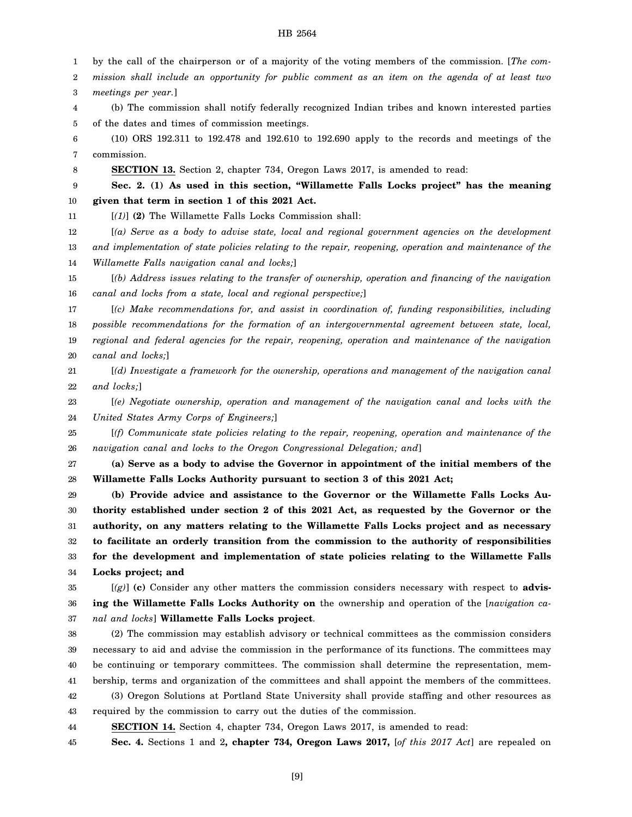1 by the call of the chairperson or of a majority of the voting members of the commission. [*The com-*

2 *mission shall include an opportunity for public comment as an item on the agenda of at least two*

3 *meetings per year.*]

4 5 (b) The commission shall notify federally recognized Indian tribes and known interested parties of the dates and times of commission meetings.

6 7 (10) ORS 192.311 to 192.478 and 192.610 to 192.690 apply to the records and meetings of the commission.

8 **SECTION 13.** Section 2, chapter 734, Oregon Laws 2017, is amended to read:

9 10 **Sec. 2. (1) As used in this section, "Willamette Falls Locks project" has the meaning given that term in section 1 of this 2021 Act.**

11 [*(1)*] **(2)** The Willamette Falls Locks Commission shall:

12 13 14 [*(a) Serve as a body to advise state, local and regional government agencies on the development and implementation of state policies relating to the repair, reopening, operation and maintenance of the Willamette Falls navigation canal and locks;*]

15 16 [*(b) Address issues relating to the transfer of ownership, operation and financing of the navigation canal and locks from a state, local and regional perspective;*]

17 18 19 20 [*(c) Make recommendations for, and assist in coordination of, funding responsibilities, including possible recommendations for the formation of an intergovernmental agreement between state, local, regional and federal agencies for the repair, reopening, operation and maintenance of the navigation canal and locks;*]

21 22 [*(d) Investigate a framework for the ownership, operations and management of the navigation canal and locks;*]

23 24 [*(e) Negotiate ownership, operation and management of the navigation canal and locks with the United States Army Corps of Engineers;*]

25 26 [*(f) Communicate state policies relating to the repair, reopening, operation and maintenance of the navigation canal and locks to the Oregon Congressional Delegation; and*]

27 28 **(a) Serve as a body to advise the Governor in appointment of the initial members of the Willamette Falls Locks Authority pursuant to section 3 of this 2021 Act;**

29 30 31 32 33 34 **(b) Provide advice and assistance to the Governor or the Willamette Falls Locks Authority established under section 2 of this 2021 Act, as requested by the Governor or the authority, on any matters relating to the Willamette Falls Locks project and as necessary to facilitate an orderly transition from the commission to the authority of responsibilities for the development and implementation of state policies relating to the Willamette Falls Locks project; and**

35 36

37 [*(g)*] **(c)** Consider any other matters the commission considers necessary with respect to **advising the Willamette Falls Locks Authority on** the ownership and operation of the [*navigation canal and locks*] **Willamette Falls Locks project**.

38 39 40 41 42 43 (2) The commission may establish advisory or technical committees as the commission considers necessary to aid and advise the commission in the performance of its functions. The committees may be continuing or temporary committees. The commission shall determine the representation, membership, terms and organization of the committees and shall appoint the members of the committees. (3) Oregon Solutions at Portland State University shall provide staffing and other resources as required by the commission to carry out the duties of the commission.

44 **SECTION 14.** Section 4, chapter 734, Oregon Laws 2017, is amended to read:

45 **Sec. 4.** Sections 1 and 2**, chapter 734, Oregon Laws 2017,** [*of this 2017 Act*] are repealed on